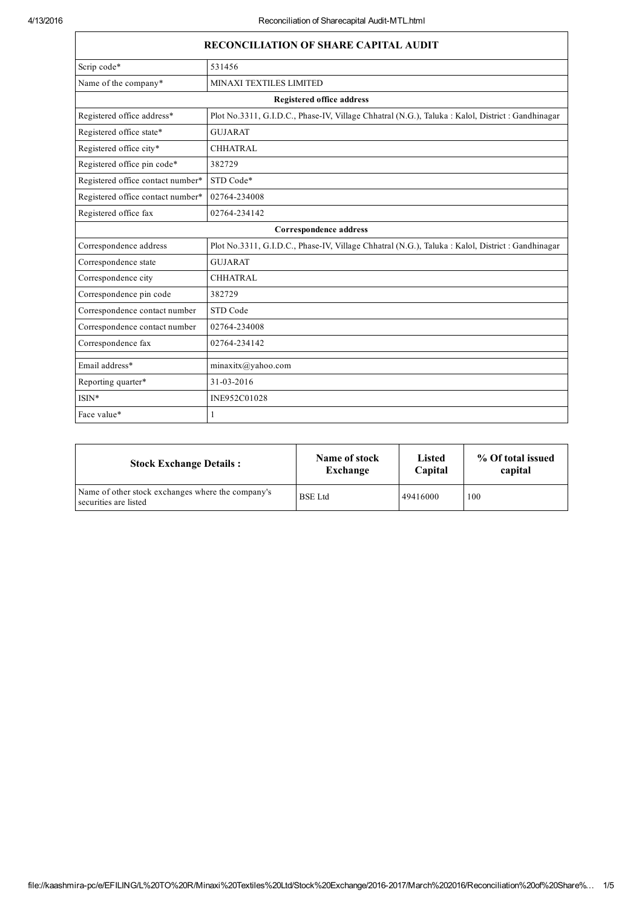| <b>RECONCILIATION OF SHARE CAPITAL AUDIT</b> |                                                                                                   |  |  |
|----------------------------------------------|---------------------------------------------------------------------------------------------------|--|--|
| Scrip code*                                  | 531456                                                                                            |  |  |
| Name of the company*                         | MINAXI TEXTILES LIMITED                                                                           |  |  |
| <b>Registered office address</b>             |                                                                                                   |  |  |
| Registered office address*                   | Plot No.3311, G.I.D.C., Phase-IV, Village Chhatral (N.G.), Taluka : Kalol, District : Gandhinagar |  |  |
| Registered office state*                     | <b>GUJARAT</b>                                                                                    |  |  |
| Registered office city*                      | <b>CHHATRAL</b>                                                                                   |  |  |
| Registered office pin code*                  | 382729                                                                                            |  |  |
| Registered office contact number*            | STD Code*                                                                                         |  |  |
| Registered office contact number*            | 02764-234008                                                                                      |  |  |
| Registered office fax                        | 02764-234142                                                                                      |  |  |
| Correspondence address                       |                                                                                                   |  |  |
| Correspondence address                       | Plot No.3311, G.I.D.C., Phase-IV, Village Chhatral (N.G.), Taluka : Kalol, District : Gandhinagar |  |  |
| Correspondence state                         | <b>GUJARAT</b>                                                                                    |  |  |
| Correspondence city                          | <b>CHHATRAL</b>                                                                                   |  |  |
| Correspondence pin code                      | 382729                                                                                            |  |  |
| Correspondence contact number                | STD Code                                                                                          |  |  |
| Correspondence contact number                | 02764-234008                                                                                      |  |  |
| Correspondence fax                           | 02764-234142                                                                                      |  |  |
| Email address*                               | $minax$ itx $@y$ ahoo.com                                                                         |  |  |
| Reporting quarter*                           | 31-03-2016                                                                                        |  |  |
| $ISIN*$                                      | INE952C01028                                                                                      |  |  |
| Face value*                                  | 1                                                                                                 |  |  |

| <b>Stock Exchange Details:</b>                                             | Name of stock  | Listed   | % Of total issued |
|----------------------------------------------------------------------------|----------------|----------|-------------------|
|                                                                            | Exchange       | Capital  | capital           |
| Name of other stock exchanges where the company's<br>securities are listed | <b>BSE</b> Ltd | 49416000 | 100               |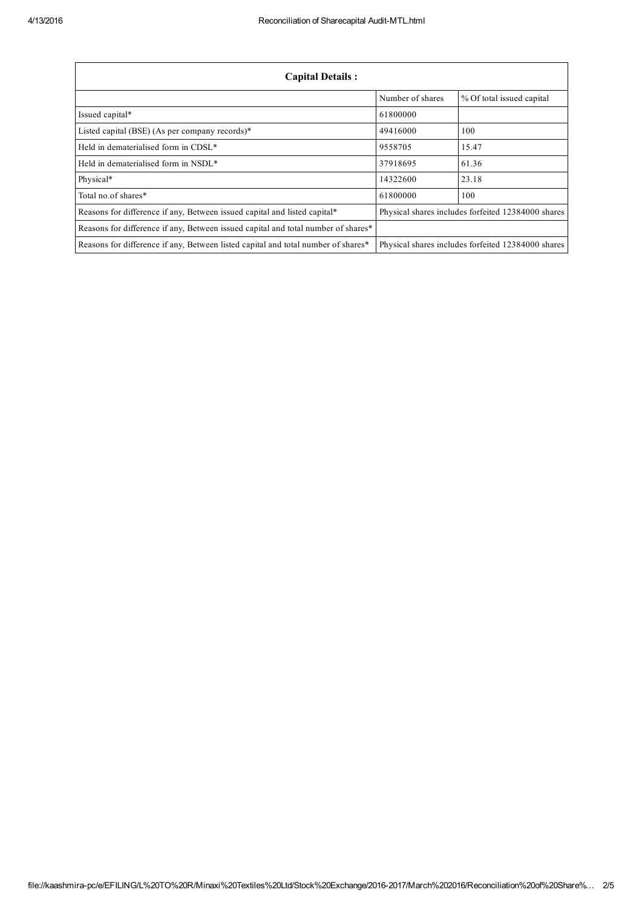| <b>Capital Details:</b>                                                           |                  |                                                    |  |
|-----------------------------------------------------------------------------------|------------------|----------------------------------------------------|--|
|                                                                                   | Number of shares | % Of total issued capital                          |  |
| Issued capital*                                                                   | 61800000         |                                                    |  |
| Listed capital (BSE) (As per company records)*                                    | 49416000         | 100                                                |  |
| Held in dematerialised form in CDSL*                                              | 9558705          | 15.47                                              |  |
| Held in dematerialised form in NSDL*                                              | 37918695         | 61.36                                              |  |
| Physical*                                                                         | 14322600         | 23.18                                              |  |
| Total no.of shares*                                                               | 61800000         | 100                                                |  |
| Reasons for difference if any, Between issued capital and listed capital*         |                  | Physical shares includes forfeited 12384000 shares |  |
| Reasons for difference if any, Between issued capital and total number of shares* |                  |                                                    |  |
| Reasons for difference if any, Between listed capital and total number of shares* |                  | Physical shares includes forfeited 12384000 shares |  |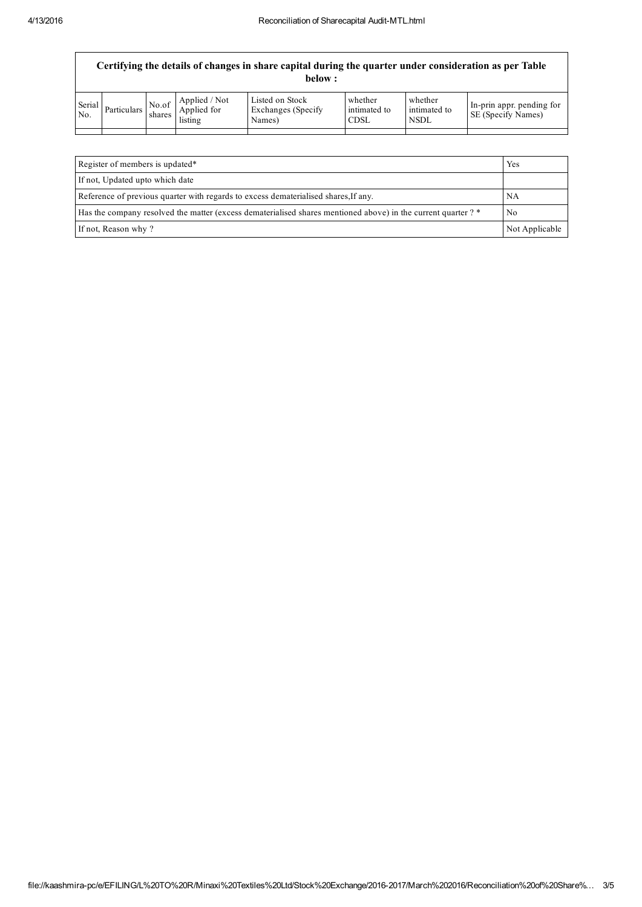| Certifying the details of changes in share capital during the quarter under consideration as per Table<br>below : |             |                 |                                         |                                                  |                                        |                                        |                                                 |
|-------------------------------------------------------------------------------------------------------------------|-------------|-----------------|-----------------------------------------|--------------------------------------------------|----------------------------------------|----------------------------------------|-------------------------------------------------|
| Serial<br>No.                                                                                                     | Particulars | No.of<br>shares | Applied / Not<br>Applied for<br>listing | Listed on Stock<br>Exchanges (Specify)<br>Names) | whether<br>intimated to<br><b>CDSL</b> | whether<br>intimated to<br><b>NSDL</b> | In-prin appr. pending for<br>SE (Specify Names) |
|                                                                                                                   |             |                 |                                         |                                                  |                                        |                                        |                                                 |

| Register of members is updated*                                                                               | Yes            |
|---------------------------------------------------------------------------------------------------------------|----------------|
| If not, Updated upto which date                                                                               |                |
| Reference of previous quarter with regards to excess dematerialised shares, If any.                           | NA             |
| Has the company resolved the matter (excess dematerialised shares mentioned above) in the current quarter ? * | No             |
| If not, Reason why?                                                                                           | Not Applicable |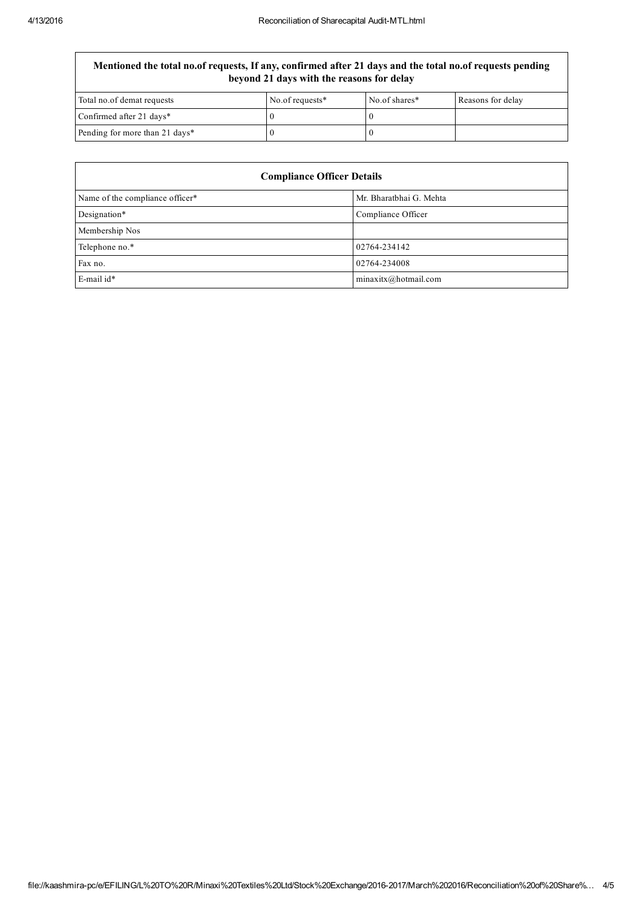Mentioned the total no.of requests, If any, confirmed after 21 days and the total no.of requests pending beyond 21 days with the reasons for delay

| Total no.of demat requests     | No.of requests* | No.of shares* | Reasons for delay |
|--------------------------------|-----------------|---------------|-------------------|
| Confirmed after 21 days*       |                 |               |                   |
| Pending for more than 21 days* |                 |               |                   |

| <b>Compliance Officer Details</b> |                         |  |  |
|-----------------------------------|-------------------------|--|--|
| Name of the compliance officer*   | Mr. Bharatbhai G. Mehta |  |  |
| Designation*                      | Compliance Officer      |  |  |
| Membership Nos                    |                         |  |  |
| Telephone no.*                    | 02764-234142            |  |  |
| Fax no.                           | 02764-234008            |  |  |
| E-mail id*                        | $minax$ itx@hotmail.com |  |  |